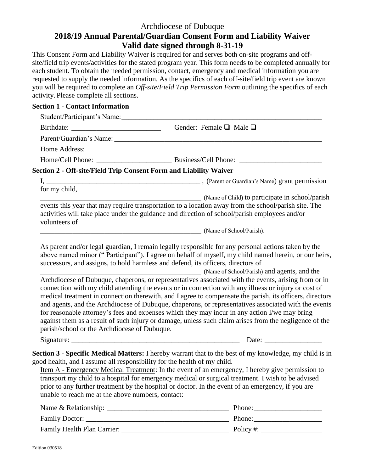## Archdiocese of Dubuque **2018/19 Annual Parental/Guardian Consent Form and Liability Waiver Valid date signed through 8-31-19**

This Consent Form and Liability Waiver is required for and serves both on-site programs and offsite/field trip events/activities for the stated program year. This form needs to be completed annually for each student. To obtain the needed permission, contact, emergency and medical information you are requested to supply the needed information. As the specifics of each off-site/field trip event are known you will be required to complete an *Off-site/Field Trip Permission Form* outlining the specifics of each activity. Please complete all sections.

## **Section 1 - Contact Information**

|                                                                                                                               | Gender: Female $\square$ Male $\square$                                                                                                                                                                                                                                                                                                                                                                                                                                                                                                                                                                                                                                                    |
|-------------------------------------------------------------------------------------------------------------------------------|--------------------------------------------------------------------------------------------------------------------------------------------------------------------------------------------------------------------------------------------------------------------------------------------------------------------------------------------------------------------------------------------------------------------------------------------------------------------------------------------------------------------------------------------------------------------------------------------------------------------------------------------------------------------------------------------|
|                                                                                                                               |                                                                                                                                                                                                                                                                                                                                                                                                                                                                                                                                                                                                                                                                                            |
|                                                                                                                               |                                                                                                                                                                                                                                                                                                                                                                                                                                                                                                                                                                                                                                                                                            |
|                                                                                                                               |                                                                                                                                                                                                                                                                                                                                                                                                                                                                                                                                                                                                                                                                                            |
| Section 2 - Off-site/Field Trip Consent Form and Liability Waiver                                                             |                                                                                                                                                                                                                                                                                                                                                                                                                                                                                                                                                                                                                                                                                            |
|                                                                                                                               |                                                                                                                                                                                                                                                                                                                                                                                                                                                                                                                                                                                                                                                                                            |
| for my child,<br>volunteers of                                                                                                | (Name of Child) to participate in school/parish<br>events this year that may require transportation to a location away from the school/parish site. The<br>activities will take place under the guidance and direction of school/parish employees and/or                                                                                                                                                                                                                                                                                                                                                                                                                                   |
|                                                                                                                               | (Name of School/Parish).                                                                                                                                                                                                                                                                                                                                                                                                                                                                                                                                                                                                                                                                   |
|                                                                                                                               | (Name of School/Parish) and agents, and the<br>Archdiocese of Dubuque, chaperons, or representatives associated with the events, arising from or in<br>connection with my child attending the events or in connection with any illness or injury or cost of<br>medical treatment in connection therewith, and I agree to compensate the parish, its officers, directors<br>and agents, and the Archdiocese of Dubuque, chaperons, or representatives associated with the events<br>for reasonable attorney's fees and expenses which they may incur in any action I/we may bring<br>against them as a result of such injury or damage, unless such claim arises from the negligence of the |
| parish/school or the Archdiocese of Dubuque.                                                                                  |                                                                                                                                                                                                                                                                                                                                                                                                                                                                                                                                                                                                                                                                                            |
|                                                                                                                               | Date: $\frac{1}{\sqrt{1-\frac{1}{2}} \cdot \frac{1}{2}}$                                                                                                                                                                                                                                                                                                                                                                                                                                                                                                                                                                                                                                   |
| good health, and I assume all responsibility for the health of my child.<br>unable to reach me at the above numbers, contact: | Section 3 - Specific Medical Matters: I hereby warrant that to the best of my knowledge, my child is in<br>Item A - Emergency Medical Treatment: In the event of an emergency, I hereby give permission to<br>transport my child to a hospital for emergency medical or surgical treatment. I wish to be advised<br>prior to any further treatment by the hospital or doctor. In the event of an emergency, if you are                                                                                                                                                                                                                                                                     |
|                                                                                                                               |                                                                                                                                                                                                                                                                                                                                                                                                                                                                                                                                                                                                                                                                                            |
|                                                                                                                               |                                                                                                                                                                                                                                                                                                                                                                                                                                                                                                                                                                                                                                                                                            |
|                                                                                                                               |                                                                                                                                                                                                                                                                                                                                                                                                                                                                                                                                                                                                                                                                                            |